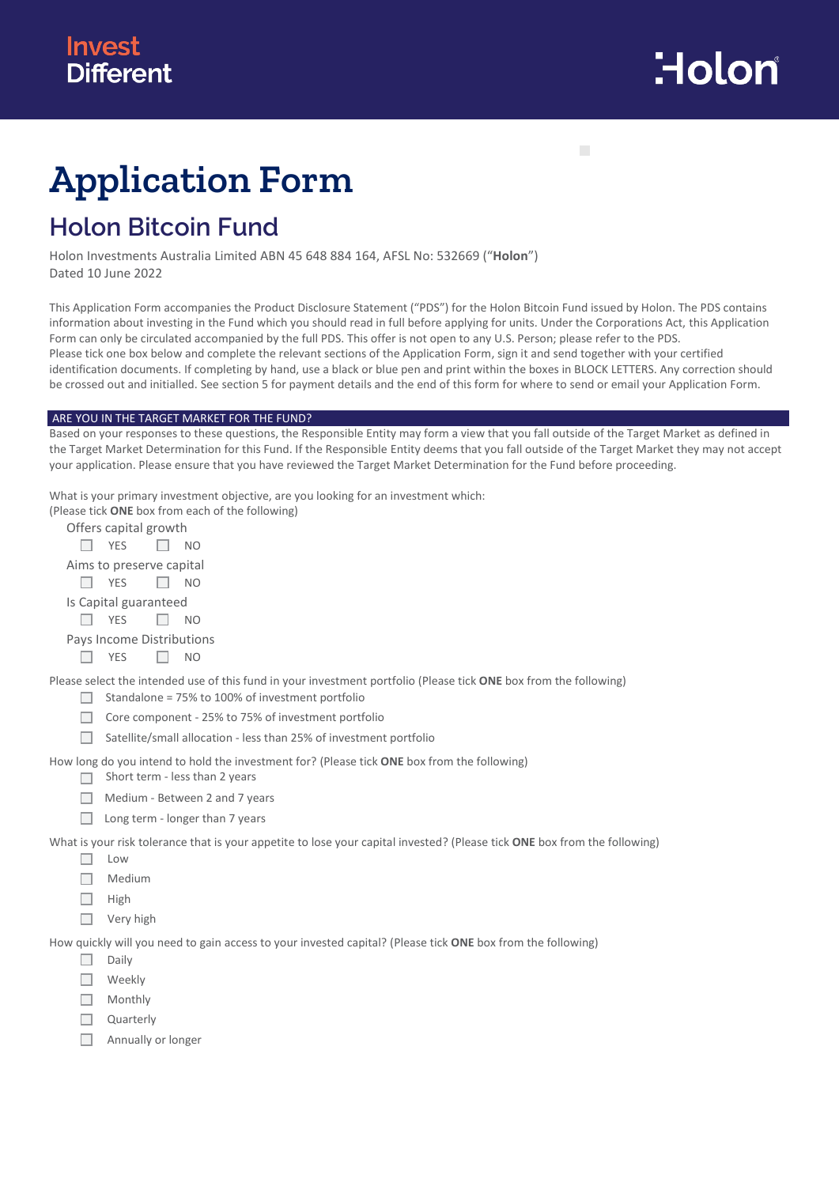

п

# **Application Form**

# **Holon Bitcoin Fund**

Holon Investments Australia Limited ABN 45 648 884 164, AFSL No: 532669 ("**Holon**") Dated 10 June 2022

This Application Form accompanies the Product Disclosure Statement ("PDS") for the Holon Bitcoin Fund issued by Holon. The PDS contains information about investing in the Fund which you should read in full before applying for units. Under the Corporations Act, this Application Form can only be circulated accompanied by the full PDS. This offer is not open to any U.S. Person; please refer to the PDS. Please tick one box below and complete the relevant sections of the Application Form, sign it and send together with your certified identification documents. If completing by hand, use a black or blue pen and print within the boxes in BLOCK LETTERS. Any correction should be crossed out and initialled. See section 5 for payment details and the end of this form for where to send or email your Application Form.

#### ARE YOU IN THE TARGET MARKET FOR THE FUND?

Based on your responses to these questions, the Responsible Entity may form a view that you fall outside of the Target Market as defined in the Target Market Determination for this Fund. If the Responsible Entity deems that you fall outside of the Target Market they may not accept your application. Please ensure that you have reviewed the Target Market Determination for the Fund before proceeding.

What is your primary investment objective, are you looking for an investment which:

|                           | (Please tick <b>ONE</b> box from each of the following)                                                           |  |
|---------------------------|-------------------------------------------------------------------------------------------------------------------|--|
| Offers capital growth     |                                                                                                                   |  |
| YES                       | NO.                                                                                                               |  |
| Aims to preserve capital  |                                                                                                                   |  |
| <b>YES</b>                | NO.                                                                                                               |  |
| Is Capital guaranteed     |                                                                                                                   |  |
| <b>YES</b>                | NO.                                                                                                               |  |
| Pays Income Distributions |                                                                                                                   |  |
| <b>YES</b>                | NO.                                                                                                               |  |
|                           | Please select the intended use of this fund in your investment portfolio (Please tick ONE box from the following) |  |
|                           | Standalone = 75% to 100% of investment portfolio                                                                  |  |
|                           | Core component - 25% to 75% of investment portfolio                                                               |  |
|                           | Satellite/small allocation - less than 25% of investment portfolio                                                |  |
|                           | How long do you intend to hold the investment for? (Please tick <b>ONE</b> box from the following)                |  |
|                           | Short term - less than 2 years                                                                                    |  |
|                           | Medium - Between 2 and 7 years                                                                                    |  |
|                           | Long term - longer than 7 years                                                                                   |  |

What is your risk tolerance that is your appetite to lose your capital invested? (Please tick **ONE** box from the following)

- $\Box$  Low
- $\Box$  Medium
- $\Box$  High
- □ Very high

How quickly will you need to gain access to your invested capital? (Please tick **ONE** box from the following)

- $\Box$  Daily
- □ Weekly
- $\Box$  Monthly
- $\Box$  Quarterly
- $\Box$ Annually or longer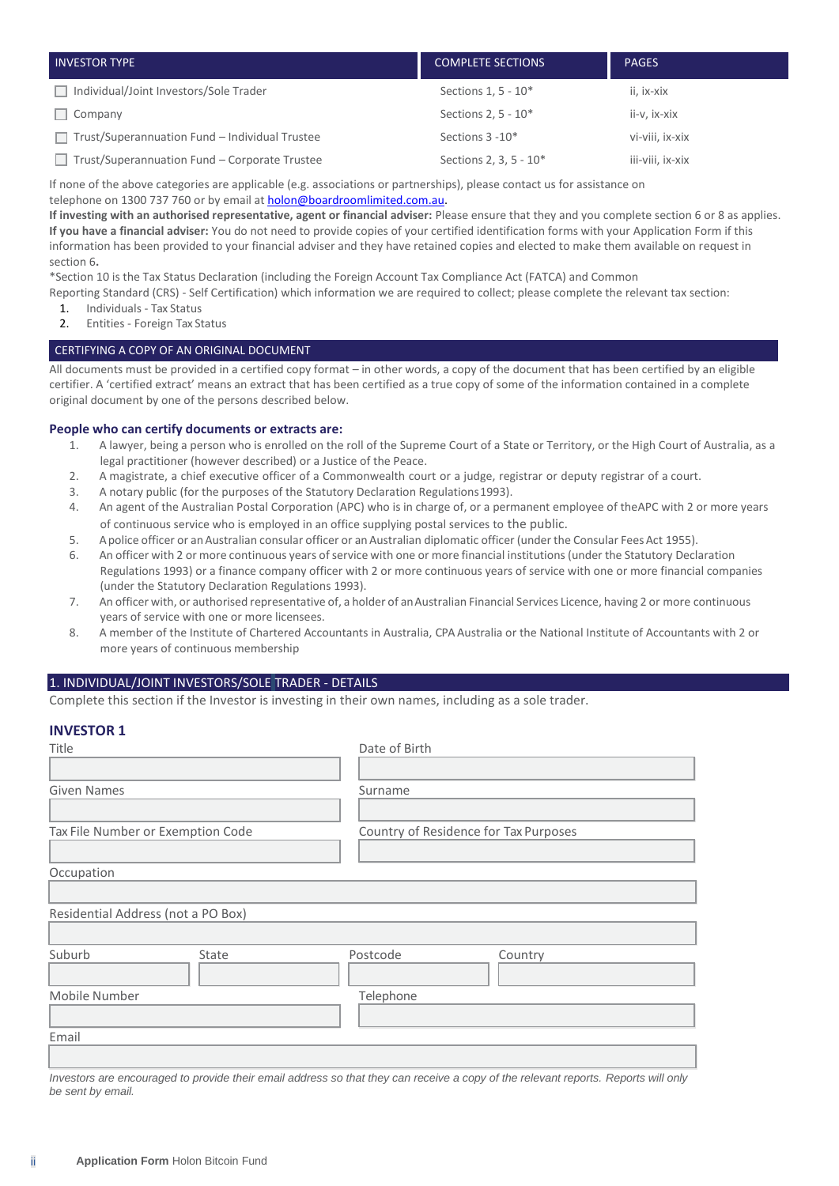| <b>INVESTOR TYPE</b>                           | <b>COMPLETE SECTIONS</b> | <b>PAGES</b>     |
|------------------------------------------------|--------------------------|------------------|
| Individual/Joint Investors/Sole Trader         | Sections 1, 5 - 10*      | ii, ix-xix       |
| Company                                        | Sections 2, 5 - 10*      | ii-v. ix-xix     |
| Trust/Superannuation Fund - Individual Trustee | Sections 3 - 10*         | vi-viii, ix-xix  |
| Trust/Superannuation Fund - Corporate Trustee  | Sections 2, 3, 5 - 10*   | iii-viii, ix-xix |

If none of the above categories are applicable (e.g. associations or partnerships), please contact us for assistance on

telephone on 1300 737 760 or by email at **[holon@boardroomlimited.com.au.](mailto:holon@boardroomlimited.com.au)** 

**If investing with an authorised representative, agent or financial adviser:** Please ensure that they and you complete section 6 or 8 as applies. **If you have a financial adviser:** You do not need to provide copies of your certified identification forms with your Application Form if this information has been provided to your financial adviser and they have retained copies and elected to make them available on request in section 6**.**

\*Section 10 is the Tax Status Declaration (including the Foreign Account Tax Compliance Act (FATCA) and Common

Reporting Standard (CRS) - Self Certification) which information we are required to collect; please complete the relevant tax section:

- 1. Individuals Tax Status
- 2. Entities Foreign Tax Status

#### CERTIFYING A COPY OF AN ORIGINAL DOCUMENT

All documents must be provided in a certified copy format – in other words, a copy of the document that has been certified by an eligible certifier. A 'certified extract' means an extract that has been certified as a true copy of some of the information contained in a complete original document by one of the persons described below.

#### **People who can certify documents or extracts are:**

- 1. A lawyer, being a person who is enrolled on the roll of the Supreme Court of a State or Territory, or the High Court of Australia, as a legal practitioner (however described) or a Justice of the Peace.
- 2. A magistrate, a chief executive officer of a Commonwealth court or a judge, registrar or deputy registrar of a court.
- 3. A notary public (for the purposes of the Statutory Declaration Regulations1993).
- 4. An agent of the Australian Postal Corporation (APC) who is in charge of, or a permanent employee of theAPC with 2 or more years of continuous service who is employed in an office supplying postal services to the public.
- 5. Apolice officer or anAustralian consular officer or anAustralian diplomatic officer (under the Consular FeesAct 1955).
- 6. An officer with 2 or more continuous years of service with one or more financial institutions (under the Statutory Declaration Regulations 1993) or a finance company officer with 2 or more continuous years of service with one or more financial companies (under the Statutory Declaration Regulations 1993).
- 7. An officer with, or authorised representative of, a holder of anAustralian Financial Services Licence, having 2 or more continuous years of service with one or more licensees.
- 8. A member of the Institute of Chartered Accountants in Australia, CPA Australia or the National Institute of Accountants with 2 or more years of continuous membership

#### 1. INDIVIDUAL/JOINT INVESTORS/SOLE TRADER - DETAILS

Complete this section if the Investor is investing in their own names, including as a sole trader.

# **INVESTOR 1**

| Title                              | Date of Birth                         |
|------------------------------------|---------------------------------------|
|                                    |                                       |
| <b>Given Names</b>                 | Surname                               |
|                                    |                                       |
| Tax File Number or Exemption Code  | Country of Residence for Tax Purposes |
|                                    |                                       |
| Occupation                         |                                       |
|                                    |                                       |
| Residential Address (not a PO Box) |                                       |
|                                    |                                       |
| Suburb<br>State                    | Postcode<br>Country                   |
|                                    |                                       |
| Mobile Number                      | Telephone                             |
|                                    |                                       |
| Email                              |                                       |
|                                    |                                       |

*Investors are encouraged to provide their email address so that they can receive a copy of the relevant reports. Reports will only be sent by email.*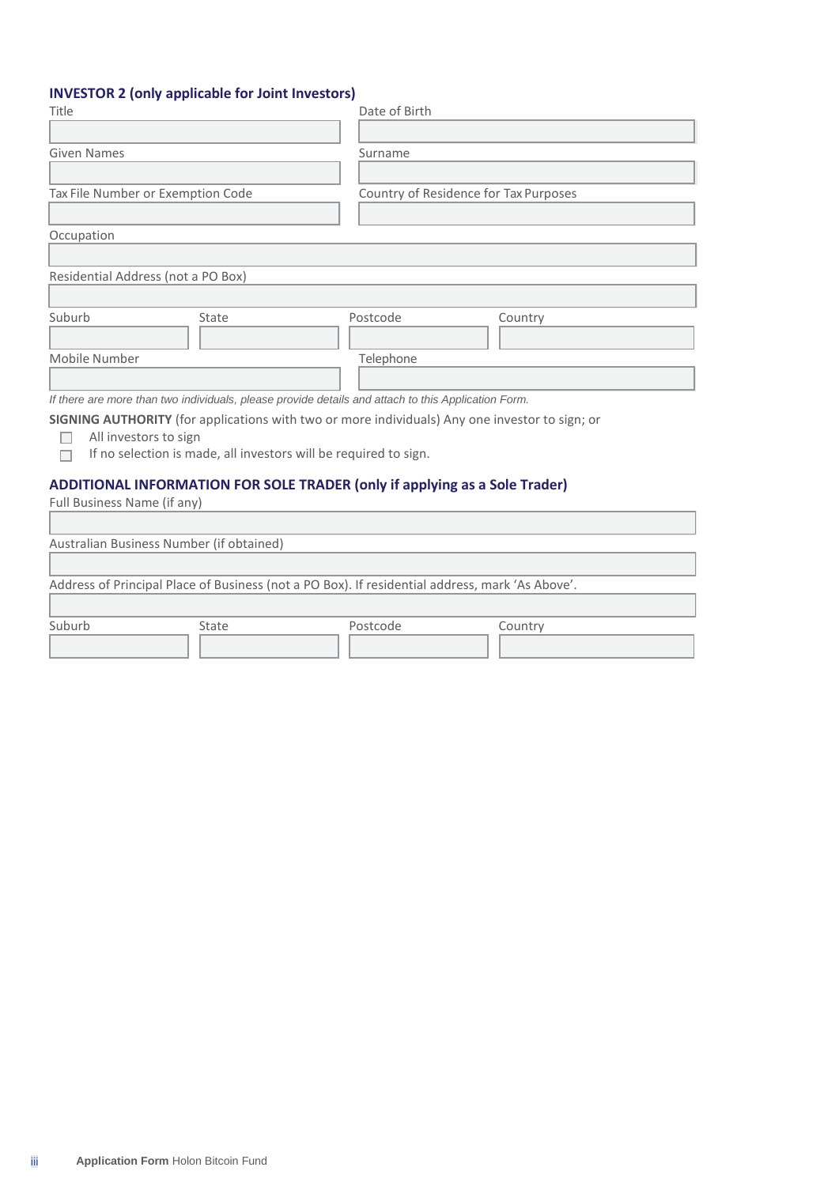# **INVESTOR 2 (only applicable for Joint Investors)**

| Title                                                                                               | Date of Birth                         |
|-----------------------------------------------------------------------------------------------------|---------------------------------------|
|                                                                                                     |                                       |
| <b>Given Names</b>                                                                                  | Surname                               |
|                                                                                                     |                                       |
| Tax File Number or Exemption Code                                                                   | Country of Residence for Tax Purposes |
|                                                                                                     |                                       |
| Occupation                                                                                          |                                       |
|                                                                                                     |                                       |
| Residential Address (not a PO Box)                                                                  |                                       |
|                                                                                                     |                                       |
| Suburb<br>State                                                                                     | Postcode<br>Country                   |
|                                                                                                     |                                       |
| Mobile Number                                                                                       | Telephone                             |
|                                                                                                     |                                       |
| If there are more than two individuals, please provide details and attach to this Application Form. |                                       |
| SIGNING AUTHORITY (for applications with two or more individuals) Any one investor to sign; or      |                                       |
| All investors to sign                                                                               |                                       |
| If no selection is made, all investors will be required to sign.<br>□                               |                                       |
| <b>ADDITIONAL INFORMATION FOR SOLE TRADER (only if applying as a Sole Trader)</b>                   |                                       |
| Full Business Name (if any)                                                                         |                                       |
|                                                                                                     |                                       |
| Australian Business Number (if obtained)                                                            |                                       |
|                                                                                                     |                                       |

Address of Principal Place of Business (not a PO Box). If residential address, mark 'As Above'.

Suburb State Postcode Country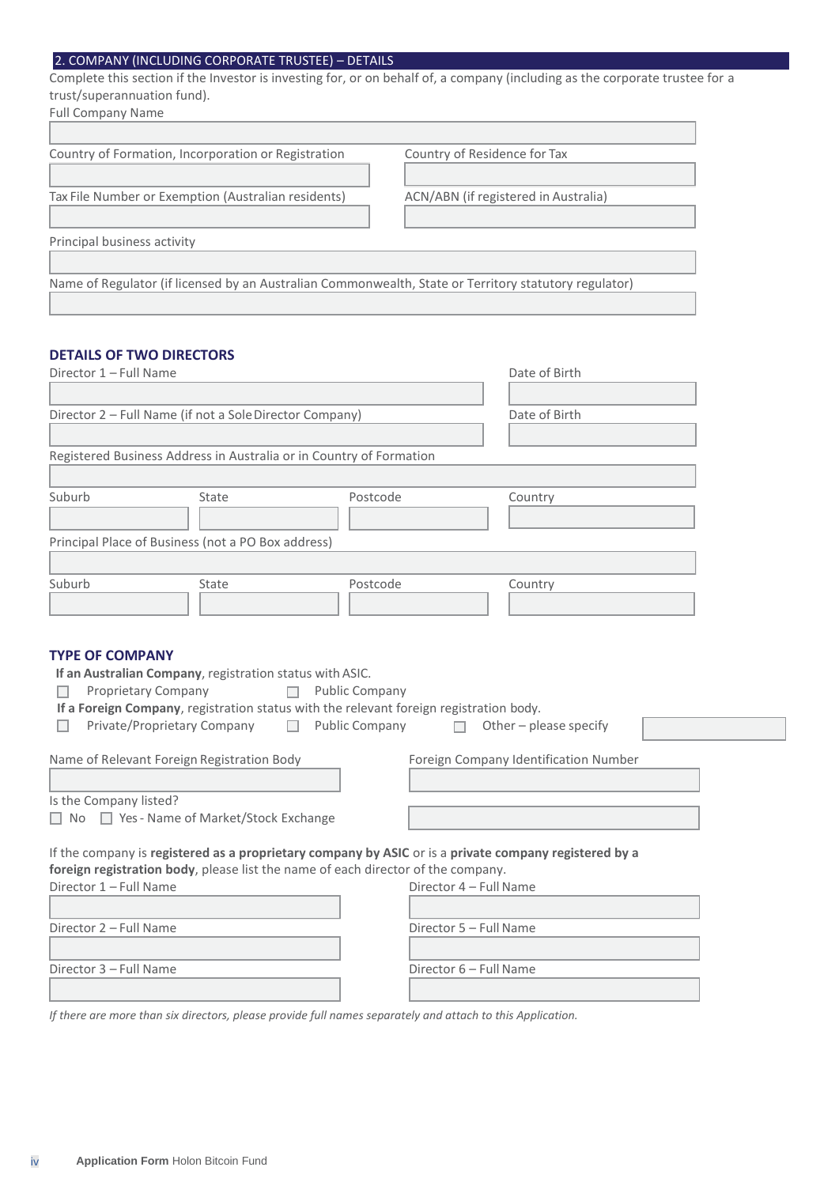# 2. COMPANY (INCLUDING CORPORATE TRUSTEE) – DETAILS

Complete this section if the Investor is investing for, or on behalf of, a company (including as the corporate trustee for a trust/superannuation fund).

| <b>Full Company Name</b>                                                                              |                                      |
|-------------------------------------------------------------------------------------------------------|--------------------------------------|
|                                                                                                       |                                      |
| Country of Formation, Incorporation or Registration                                                   | Country of Residence for Tax         |
|                                                                                                       |                                      |
| Tax File Number or Exemption (Australian residents)                                                   | ACN/ABN (if registered in Australia) |
|                                                                                                       |                                      |
| Principal business activity                                                                           |                                      |
|                                                                                                       |                                      |
| Name of Regulator (if licensed by an Australian Commonwealth, State or Territory statutory regulator) |                                      |
|                                                                                                       |                                      |

# **DETAILS OF TWO DIRECTORS**

| Director 1 - Full Name |                                                                           | Date of Birth                                                                    |                                                                                                       |  |
|------------------------|---------------------------------------------------------------------------|----------------------------------------------------------------------------------|-------------------------------------------------------------------------------------------------------|--|
|                        | Director 2 - Full Name (if not a Sole Director Company)                   | Date of Birth                                                                    |                                                                                                       |  |
|                        |                                                                           |                                                                                  |                                                                                                       |  |
|                        | Registered Business Address in Australia or in Country of Formation       |                                                                                  |                                                                                                       |  |
| Suburb                 | State                                                                     | Postcode                                                                         | Country                                                                                               |  |
|                        | Principal Place of Business (not a PO Box address)                        |                                                                                  |                                                                                                       |  |
| Suburb                 | State                                                                     | Postcode                                                                         | Country                                                                                               |  |
|                        |                                                                           |                                                                                  |                                                                                                       |  |
| П                      | Private/Proprietary Company<br>Name of Relevant Foreign Registration Body | <b>Public Company</b><br>П                                                       | Other - please specify<br>$\Box$<br>Foreign Company Identification Number                             |  |
| Is the Company listed? | □ No □ Yes - Name of Market/Stock Exchange                                |                                                                                  |                                                                                                       |  |
|                        |                                                                           | foreign registration body, please list the name of each director of the company. | If the company is registered as a proprietary company by ASIC or is a private company registered by a |  |
| Director 1 - Full Name |                                                                           |                                                                                  | Director 4 - Full Name                                                                                |  |
| Director 2 - Full Name |                                                                           |                                                                                  | Director 5 - Full Name                                                                                |  |
| Director 3 - Full Name |                                                                           |                                                                                  | Director 6 - Full Name                                                                                |  |
|                        |                                                                           |                                                                                  |                                                                                                       |  |

*If there are more than six directors, please provide full names separately and attach to this Application.*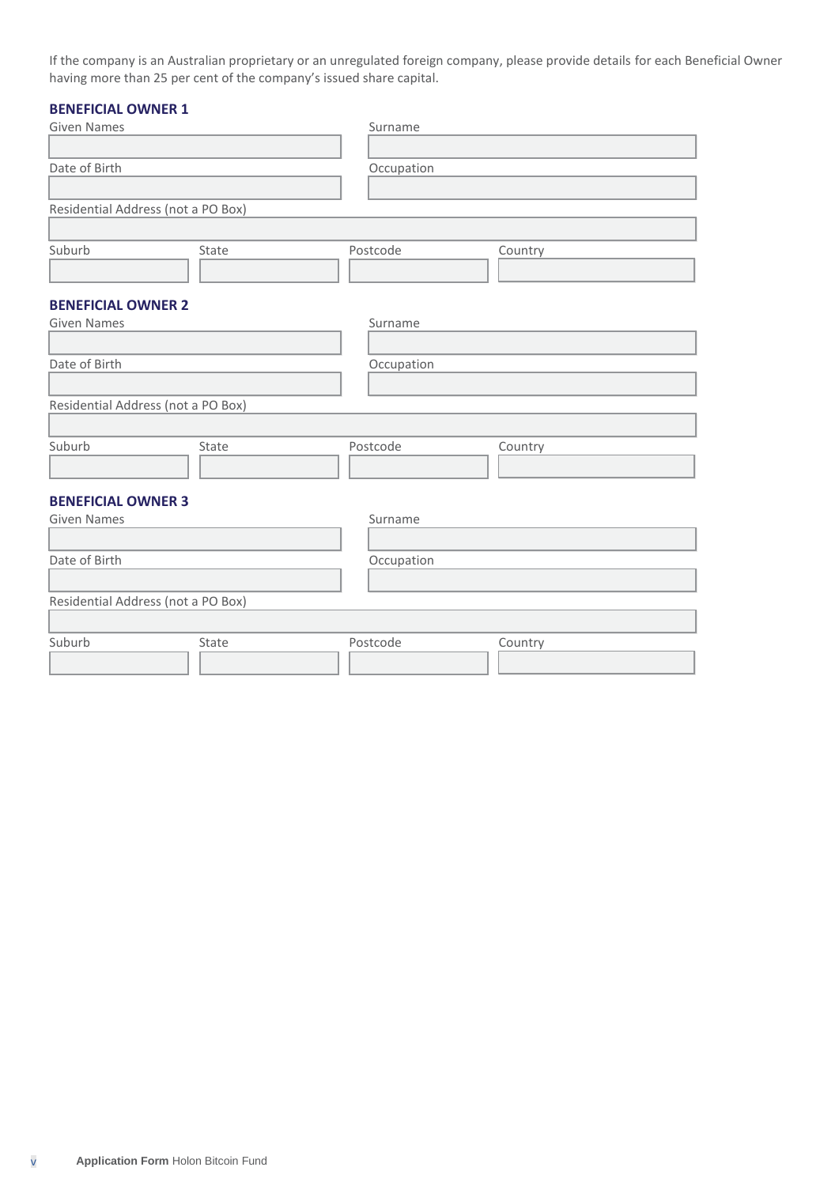If the company is an Australian proprietary or an unregulated foreign company, please provide details for each Beneficial Owner having more than 25 per cent of the company's issued share capital.

# **BENEFICIAL OWNER 1**

| <b>Given Names</b>                 |       | Surname    |         |
|------------------------------------|-------|------------|---------|
|                                    |       |            |         |
| Date of Birth                      |       | Occupation |         |
|                                    |       |            |         |
| Residential Address (not a PO Box) |       |            |         |
|                                    |       |            |         |
| Suburb                             | State | Postcode   | Country |
|                                    |       |            |         |
|                                    |       |            |         |
| <b>BENEFICIAL OWNER 2</b>          |       |            |         |
| <b>Given Names</b>                 |       | Surname    |         |
|                                    |       |            |         |
| Date of Birth                      |       | Occupation |         |
|                                    |       |            |         |
| Residential Address (not a PO Box) |       |            |         |
|                                    |       |            |         |
|                                    |       |            |         |
| Suburb                             | State | Postcode   | Country |
|                                    |       |            |         |
|                                    |       |            |         |
| <b>BENEFICIAL OWNER 3</b>          |       |            |         |
| <b>Given Names</b>                 |       | Surname    |         |
|                                    |       |            |         |
| Date of Birth                      |       | Occupation |         |
|                                    |       |            |         |
| Residential Address (not a PO Box) |       |            |         |
|                                    |       |            |         |
| Suburb                             | State | Postcode   | Country |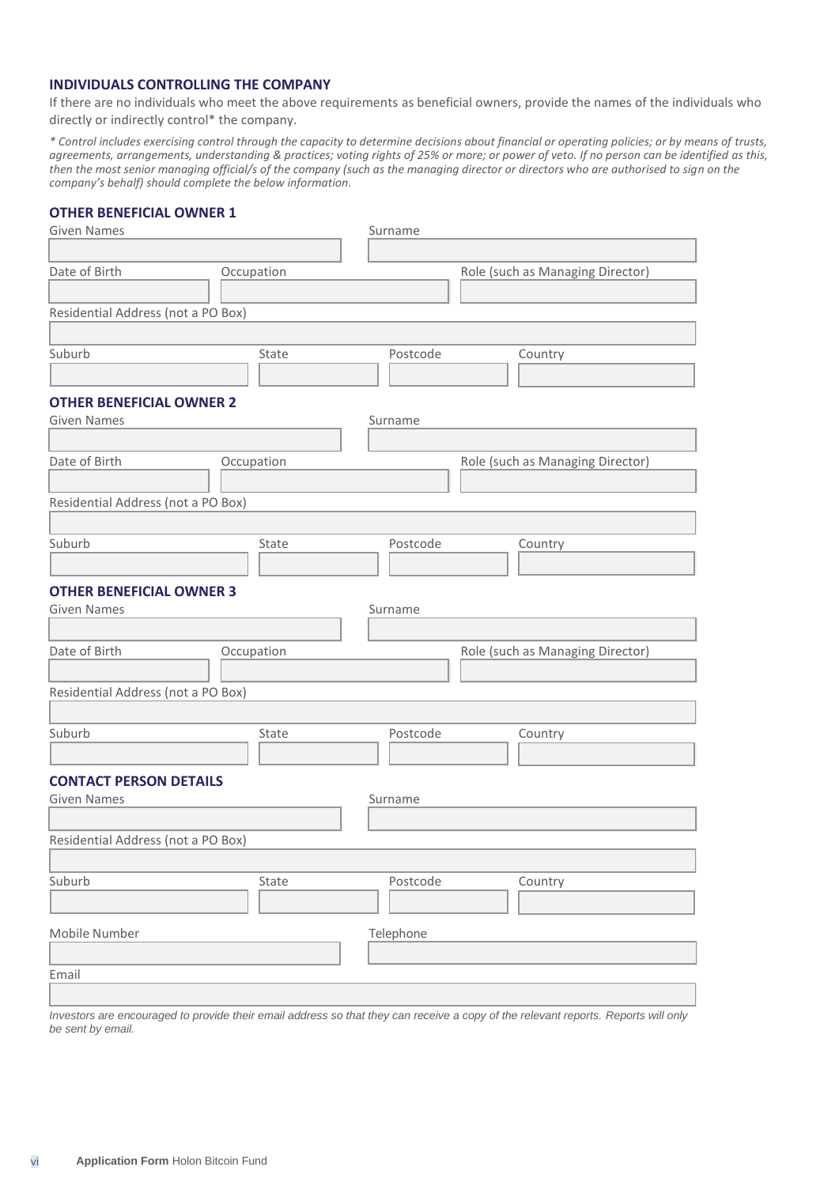# **INDIVIDUALS CONTROLLING THE COMPANY**

If there are no individuals who meet the above requirements as beneficial owners, provide the names of the individuals who directly or indirectly control\* the company.

*\* Control includes exercising control through the capacity to determine decisions about financial or operating policies; or by means of trusts, agreements, arrangements, understanding & practices; voting rights of 25% or more; or power of veto. If no person can be identified as this, then the most senior managing official/s of the company (such as the managing director or directors who are authorised to sign on the company's behalf) should complete the below information.*

### **OTHER BENEFICIAL OWNER 1**

| <b>Given Names</b>                 |            | Surname   |                                  |
|------------------------------------|------------|-----------|----------------------------------|
|                                    |            |           |                                  |
| Date of Birth<br>Occupation        |            |           | Role (such as Managing Director) |
|                                    |            |           |                                  |
| Residential Address (not a PO Box) |            |           |                                  |
|                                    |            |           |                                  |
| Suburb                             | State      | Postcode  | Country                          |
|                                    |            |           |                                  |
| <b>OTHER BENEFICIAL OWNER 2</b>    |            |           |                                  |
| <b>Given Names</b>                 |            | Surname   |                                  |
|                                    |            |           |                                  |
| Date of Birth                      | Occupation |           | Role (such as Managing Director) |
|                                    |            |           |                                  |
| Residential Address (not a PO Box) |            |           |                                  |
|                                    |            |           |                                  |
| Suburb                             | State      | Postcode  | Country                          |
|                                    |            |           |                                  |
| <b>OTHER BENEFICIAL OWNER 3</b>    |            |           |                                  |
| <b>Given Names</b>                 |            | Surname   |                                  |
|                                    |            |           |                                  |
| Date of Birth                      | Occupation |           | Role (such as Managing Director) |
|                                    |            |           |                                  |
| Residential Address (not a PO Box) |            |           |                                  |
|                                    |            |           |                                  |
| Suburb                             | State      | Postcode  | Country                          |
|                                    |            |           |                                  |
| <b>CONTACT PERSON DETAILS</b>      |            |           |                                  |
| <b>Given Names</b>                 |            | Surname   |                                  |
|                                    |            |           |                                  |
| Residential Address (not a PO Box) |            |           |                                  |
|                                    |            |           |                                  |
| Suburb                             | State      | Postcode  | Country                          |
|                                    |            |           |                                  |
| Mobile Number                      |            | Telephone |                                  |
|                                    |            |           |                                  |
| Email                              |            |           |                                  |
|                                    |            |           |                                  |
|                                    |            |           |                                  |

*Investors are encouraged to provide their email address so that they can receive a copy of the relevant reports. Reports will only be sent by email.*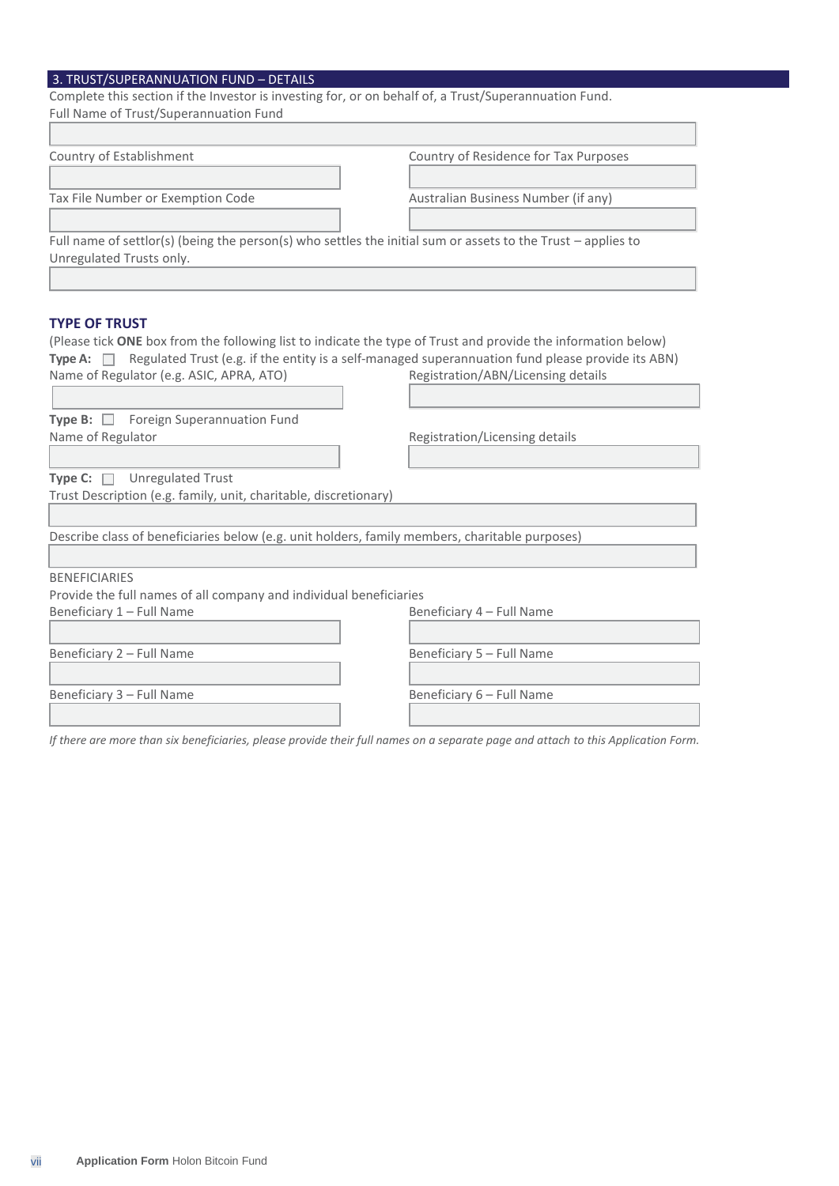# 3. TRUST/SUPERANNUATION FUND – DETAILS

| Complete this section if the Investor is investing for, or on behalf of, a Trust/Superannuation Fund.            |                                       |
|------------------------------------------------------------------------------------------------------------------|---------------------------------------|
| Full Name of Trust/Superannuation Fund                                                                           |                                       |
|                                                                                                                  |                                       |
| Country of Establishment                                                                                         | Country of Residence for Tax Purposes |
|                                                                                                                  |                                       |
| Tax File Number or Exemption Code                                                                                | Australian Business Number (if any)   |
|                                                                                                                  |                                       |
| Full name of settlor(s) (being the person(s) who settles the initial sum or assets to the Trust - applies to     |                                       |
| Unregulated Trusts only.                                                                                         |                                       |
|                                                                                                                  |                                       |
|                                                                                                                  |                                       |
| <b>TYPE OF TRUST</b>                                                                                             |                                       |
| (Please tick ONE box from the following list to indicate the type of Trust and provide the information below)    |                                       |
| Type A: $\Box$ Regulated Trust (e.g. if the entity is a self-managed superannuation fund please provide its ABN) |                                       |
| Name of Regulator (e.g. ASIC, APRA, ATO)                                                                         | Registration/ABN/Licensing details    |
|                                                                                                                  |                                       |
| Type B: Foreign Superannuation Fund                                                                              |                                       |
| Name of Regulator                                                                                                | Registration/Licensing details        |
|                                                                                                                  |                                       |
| <b>Unregulated Trust</b><br>Type C: $\Box$                                                                       |                                       |
| Trust Description (e.g. family, unit, charitable, discretionary)                                                 |                                       |

Describe class of beneficiaries below (e.g. unit holders, family members, charitable purposes)

BENEFICIARIES

Provide the full names of all company and individual beneficiaries

Beneficiary 1 – Full Name **Beneficiary 4 – Full Name** 

Beneficiary 2 – Full Name Beneficiary 5 – Full Name

Beneficiary 3 – Full Name **Beneficiary 6 – Full Name** 

*If there are more than six beneficiaries, please provide their full names on a separate page and attach to this Application Form.*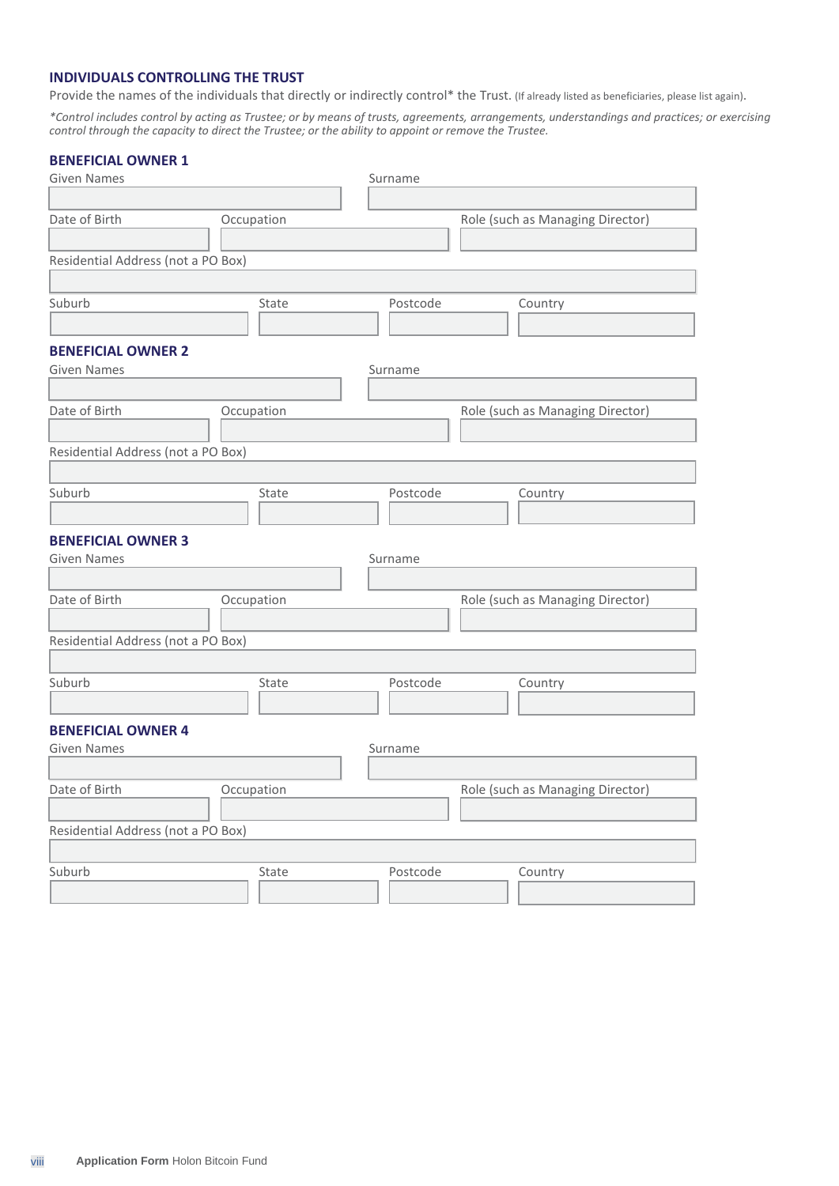# **INDIVIDUALS CONTROLLING THE TRUST**

Provide the names of the individuals that directly or indirectly control\* the Trust. (If already listed as beneficiaries, please list again).

*\*Control includes control by acting as Trustee; or by means of trusts, agreements, arrangements, understandings and practices; or exercising control through the capacity to direct the Trustee; or the ability to appoint or remove the Trustee.*

# **BENEFICIAL OWNER 1**

| <b>Given Names</b>                 |            | Surname  |                                  |  |
|------------------------------------|------------|----------|----------------------------------|--|
|                                    |            |          |                                  |  |
| Date of Birth                      | Occupation |          | Role (such as Managing Director) |  |
|                                    |            |          |                                  |  |
| Residential Address (not a PO Box) |            |          |                                  |  |
|                                    |            |          |                                  |  |
| Suburb                             | State      | Postcode | Country                          |  |
|                                    |            |          |                                  |  |
| <b>BENEFICIAL OWNER 2</b>          |            |          |                                  |  |
| <b>Given Names</b>                 |            | Surname  |                                  |  |
|                                    |            |          |                                  |  |
| Date of Birth                      | Occupation |          | Role (such as Managing Director) |  |
|                                    |            |          |                                  |  |
| Residential Address (not a PO Box) |            |          |                                  |  |
|                                    |            |          |                                  |  |
| Suburb                             | State      | Postcode | Country                          |  |
|                                    |            |          |                                  |  |
|                                    |            |          |                                  |  |
| <b>BENEFICIAL OWNER 3</b>          |            |          |                                  |  |
| <b>Given Names</b>                 |            | Surname  |                                  |  |
|                                    |            |          |                                  |  |
| Date of Birth                      | Occupation |          | Role (such as Managing Director) |  |
|                                    |            |          |                                  |  |
| Residential Address (not a PO Box) |            |          |                                  |  |
|                                    |            |          |                                  |  |
| Suburb                             | State      | Postcode | Country                          |  |
|                                    |            |          |                                  |  |
| <b>BENEFICIAL OWNER 4</b>          |            |          |                                  |  |
| <b>Given Names</b>                 |            | Surname  |                                  |  |
|                                    |            |          |                                  |  |
| Date of Birth                      | Occupation |          | Role (such as Managing Director) |  |
|                                    |            |          |                                  |  |
| Residential Address (not a PO Box) |            |          |                                  |  |
|                                    |            |          |                                  |  |
| Suburb                             | State      | Postcode | Country                          |  |
|                                    |            |          |                                  |  |
|                                    |            |          |                                  |  |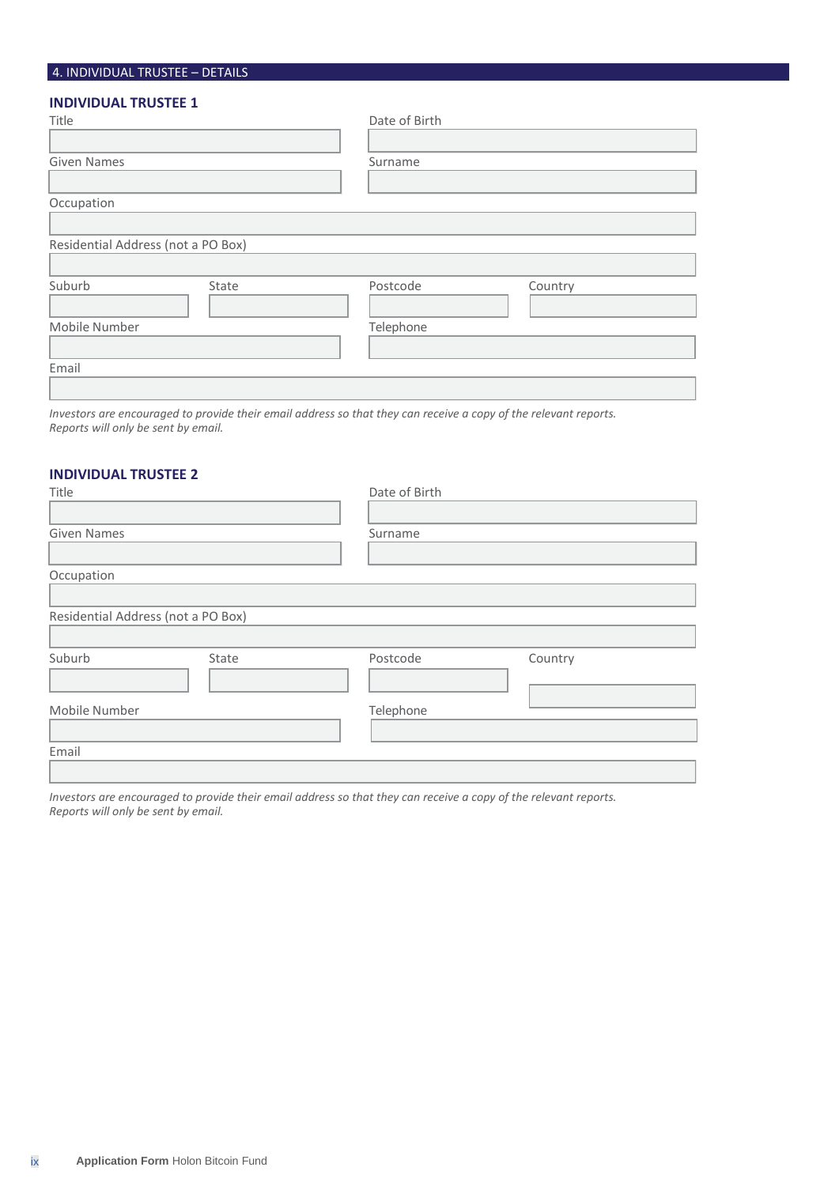# 4. INDIVIDUAL TRUSTEE – DETAILS

# **INDIVIDUAL TRUSTEE 1**

| Title                              |       | Date of Birth |         |
|------------------------------------|-------|---------------|---------|
|                                    |       |               |         |
| <b>Given Names</b>                 |       | Surname       |         |
|                                    |       |               |         |
| Occupation                         |       |               |         |
|                                    |       |               |         |
| Residential Address (not a PO Box) |       |               |         |
|                                    |       |               |         |
| Suburb                             | State | Postcode      | Country |
|                                    |       |               |         |
| Mobile Number                      |       | Telephone     |         |
|                                    |       |               |         |
| Email                              |       |               |         |
|                                    |       |               |         |

*Investors are encouraged to provide their email address so that they can receive a copy of the relevant reports. Reports will only be sent by email.*

#### **INDIVIDUAL TRUSTEE 2**

| Title                              |       | Date of Birth |         |
|------------------------------------|-------|---------------|---------|
|                                    |       |               |         |
| <b>Given Names</b>                 |       | Surname       |         |
|                                    |       |               |         |
| Occupation                         |       |               |         |
|                                    |       |               |         |
| Residential Address (not a PO Box) |       |               |         |
|                                    |       |               |         |
| Suburb                             | State | Postcode      | Country |
|                                    |       |               |         |
|                                    |       |               |         |
| Mobile Number                      |       | Telephone     |         |
|                                    |       |               |         |
| Email                              |       |               |         |
|                                    |       |               |         |
|                                    |       |               |         |

*Investors are encouraged to provide their email address so that they can receive a copy of the relevant reports. Reports will only be sent by email.*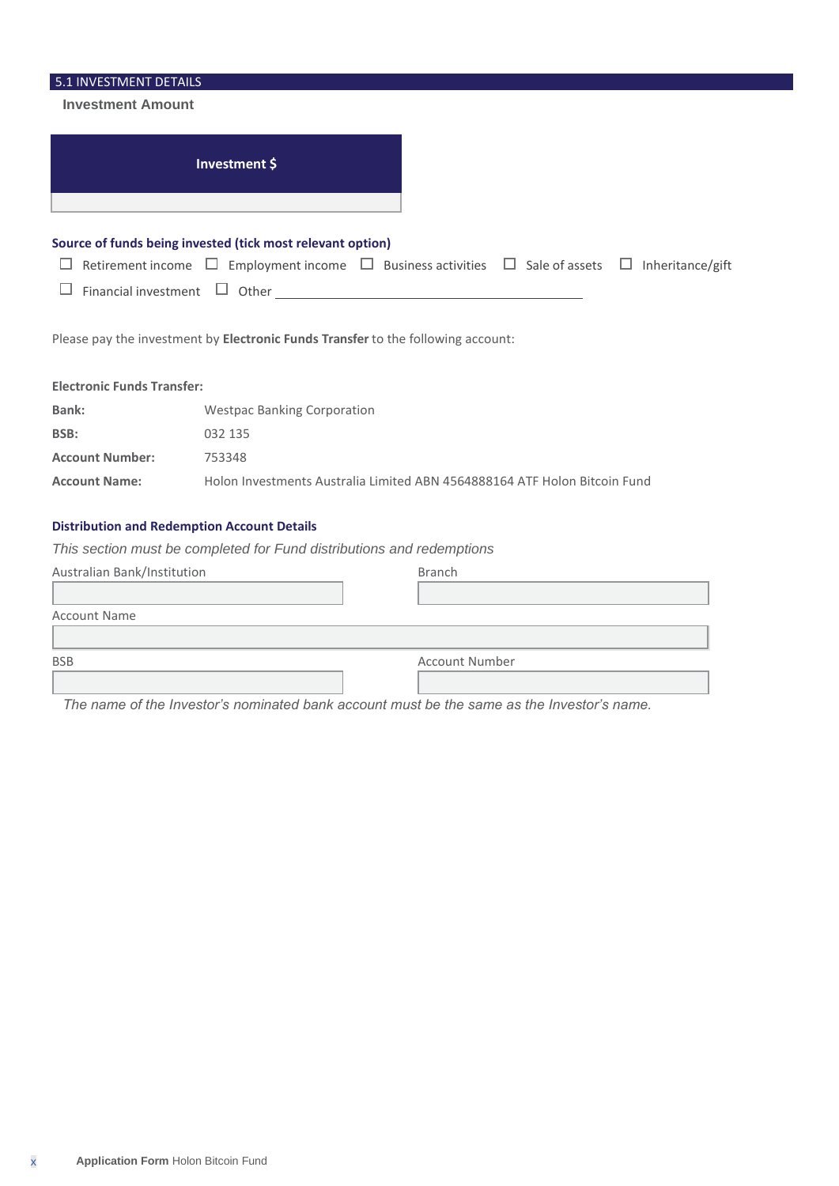| 5.1 INVESTMENT DETAILS            |                                                                                                                                                                                                   |
|-----------------------------------|---------------------------------------------------------------------------------------------------------------------------------------------------------------------------------------------------|
| <b>Investment Amount</b>          |                                                                                                                                                                                                   |
|                                   | Investment \$                                                                                                                                                                                     |
| Financial investment              | Source of funds being invested (tick most relevant option)<br>Retirement income $\Box$ Employment income $\Box$ Business activities $\Box$ Sale of assets $\Box$ Inheritance/gift<br>$\Box$ Other |
|                                   | Please pay the investment by Electronic Funds Transfer to the following account:                                                                                                                  |
| <b>Electronic Funds Transfer:</b> |                                                                                                                                                                                                   |
| Bank:                             | <b>Westpac Banking Corporation</b>                                                                                                                                                                |
| BSB:                              | 032 135                                                                                                                                                                                           |
| <b>Account Number:</b>            | 753348                                                                                                                                                                                            |
| <b>Account Name:</b>              | Holon Investments Australia Limited ABN 4564888164 ATF Holon Bitcoin Fund                                                                                                                         |
|                                   | <b>Distribution and Redemption Account Details</b>                                                                                                                                                |
|                                   | This section must be completed for Fund distributions and redemptions                                                                                                                             |
| Australian Bank/Institution       | <b>Branch</b>                                                                                                                                                                                     |
| <b>Account Name</b>               |                                                                                                                                                                                                   |
|                                   |                                                                                                                                                                                                   |

| <b>BSB</b> | <b>Account Number</b> |
|------------|-----------------------|
|            |                       |
|            |                       |

*The name of the Investor's nominated bank account must be the same as the Investor's name.*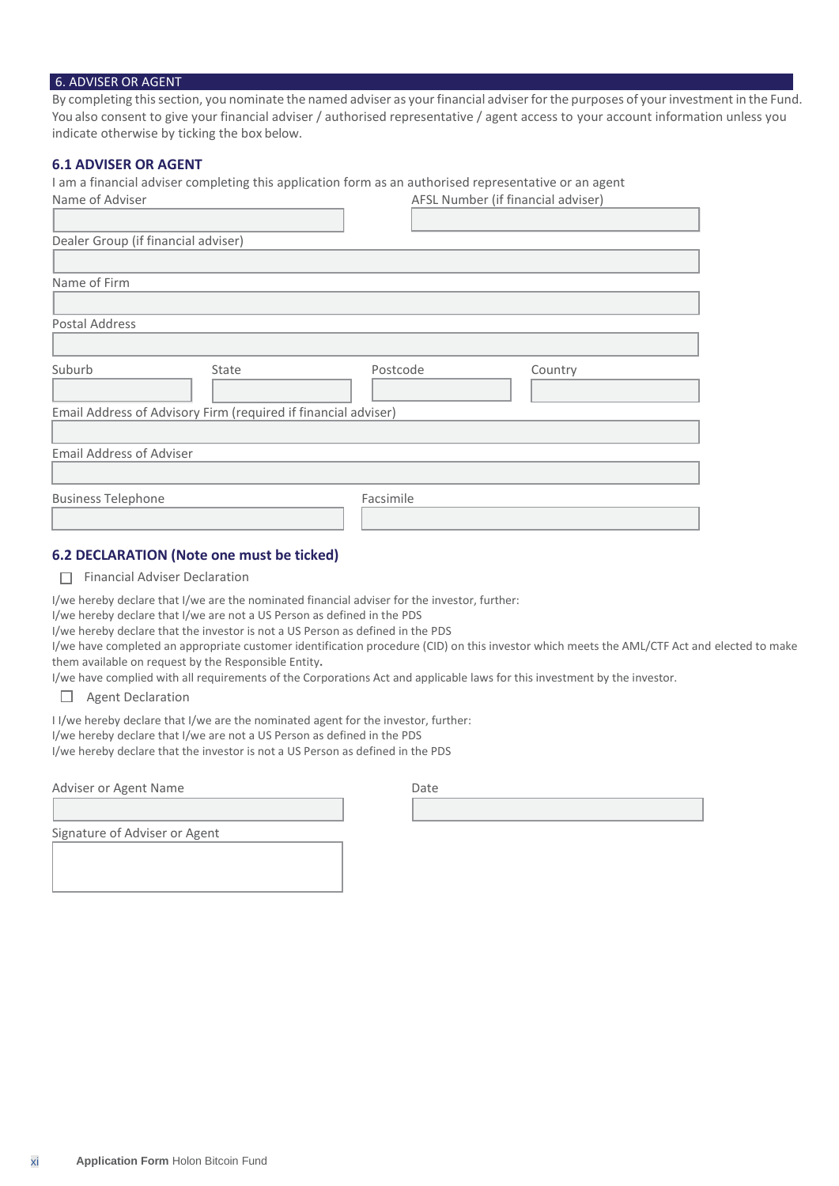#### 6. ADVISER OR AGENT

By completing thissection, you nominate the named adviser as yourfinancial adviserforthe purposes of yourinvestment in the Fund. You also consent to give your financial adviser / authorised representative / agent access to your account information unless you indicate otherwise by ticking the box below.

### **6.1 ADVISER OR AGENT**

I am a financial adviser completing this application form as an authorised representative or an agent

| Name of Adviser                                                |       | AFSL Number (if financial adviser) |         |
|----------------------------------------------------------------|-------|------------------------------------|---------|
|                                                                |       |                                    |         |
| Dealer Group (if financial adviser)                            |       |                                    |         |
|                                                                |       |                                    |         |
| Name of Firm                                                   |       |                                    |         |
|                                                                |       |                                    |         |
| Postal Address                                                 |       |                                    |         |
|                                                                |       |                                    |         |
| Suburb                                                         | State | Postcode                           | Country |
|                                                                |       |                                    |         |
| Email Address of Advisory Firm (required if financial adviser) |       |                                    |         |
|                                                                |       |                                    |         |
| <b>Email Address of Adviser</b>                                |       |                                    |         |
|                                                                |       |                                    |         |
| <b>Business Telephone</b>                                      |       | Facsimile                          |         |
|                                                                |       |                                    |         |
|                                                                |       |                                    |         |

# **6.2 DECLARATION (Note one must be ticked)**

Financial Adviser Declaration

I/we hereby declare that I/we are the nominated financial adviser for the investor, further:

I/we hereby declare that I/we are not a US Person as defined in the PDS

I/we hereby declare that the investor is not a US Person as defined in the PDS

I/we have completed an appropriate customer identification procedure (CID) on this investor which meets the AML/CTF Act and elected to make them available on request by the Responsible Entity**.**

I/we have complied with all requirements of the Corporations Act and applicable laws for this investment by the investor.

Agent Declaration

I I/we hereby declare that I/we are the nominated agent for the investor, further:

I/we hereby declare that I/we are not a US Person as defined in the PDS

I/we hereby declare that the investor is not a US Person as defined in the PDS

Adviser or Agent Name

| Date |  |  |  |
|------|--|--|--|
|      |  |  |  |

Signature of Adviser or Agent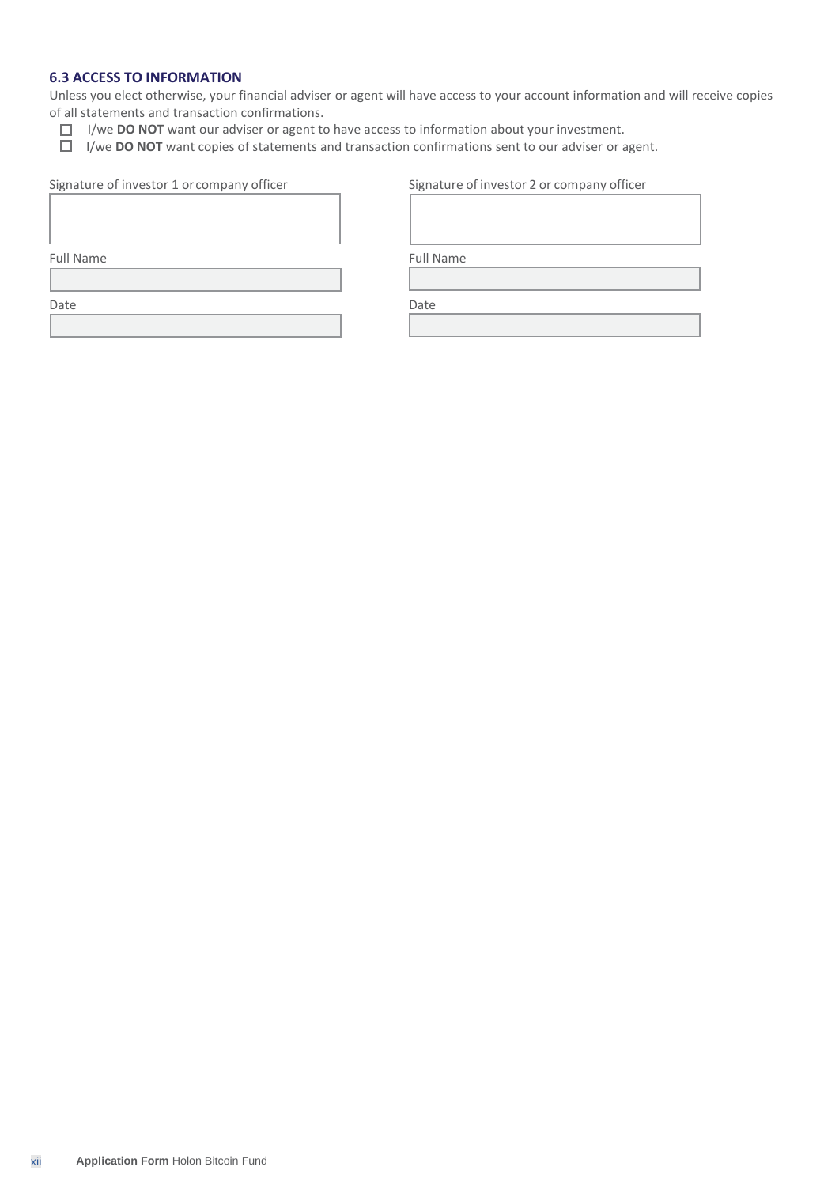# **6.3 ACCESS TO INFORMATION**

Unless you elect otherwise, your financial adviser or agent will have access to your account information and will receive copies of all statements and transaction confirmations.

- I/we **DO NOT** want our adviser or agent to have access to information about your investment.
- I/we **DO NOT** want copies of statements and transaction confirmations sent to our adviser or agent.

| Signature of investor 1 or company officer |
|--------------------------------------------|
|--------------------------------------------|

| Signature of investor 1 or company officer | Signature of investor 2 or company officer |
|--------------------------------------------|--------------------------------------------|
|                                            |                                            |

Full Name Full Name

Date **Date** Date **Date**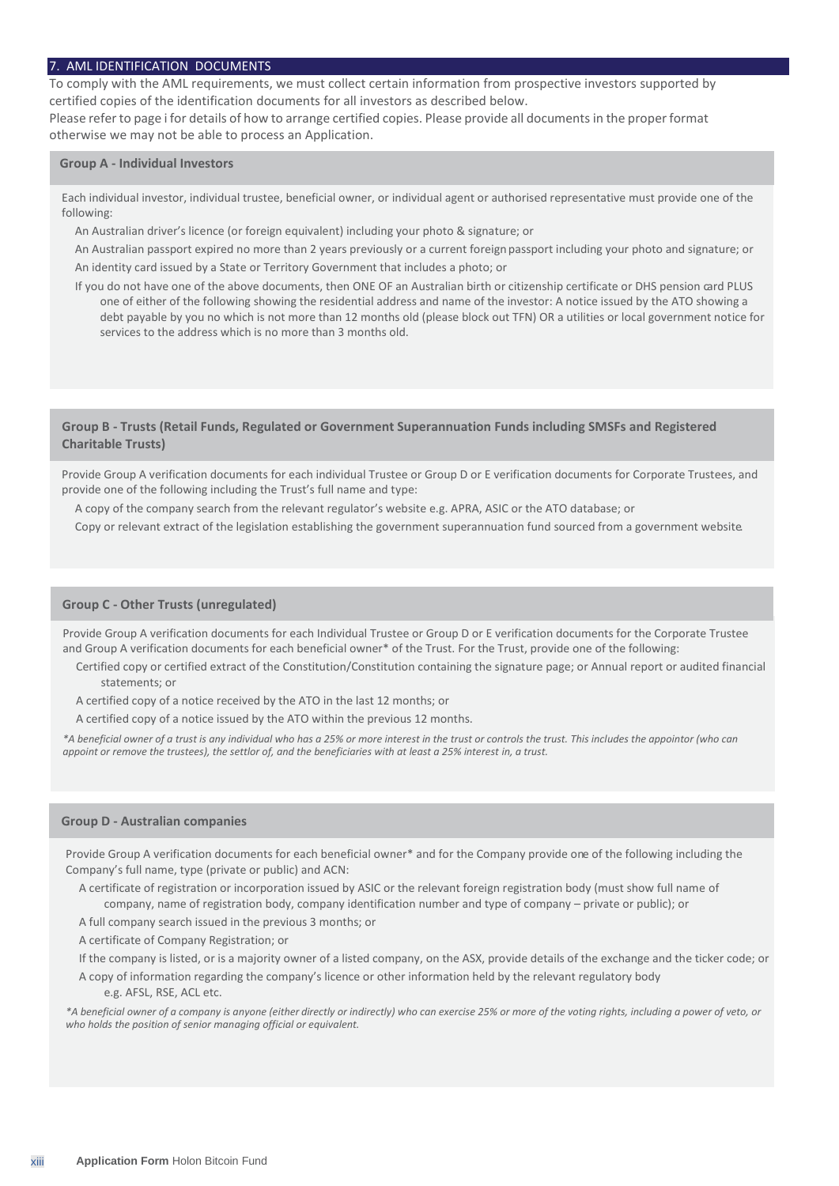#### 7. AML IDENTIFICATION DOCUMENTS

To comply with the AML requirements, we must collect certain information from prospective investors supported by certified copies of the identification documents for all investors as described below.

Please refer to page i for details of how to arrange certified copies. Please provide all documents in the proper format otherwise we may not be able to process an Application.

#### **Group A - Individual Investors**

Each individual investor, individual trustee, beneficial owner, or individual agent or authorised representative must provide one of the following:

An Australian driver's licence (or foreign equivalent) including your photo & signature; or

An Australian passport expired no more than 2 years previously or a current foreign passport including your photo and signature; or An identity card issued by a State or Territory Government that includes a photo; or

If you do not have one of the above documents, then ONE OF an Australian birth or citizenship certificate or DHS pension card PLUS one of either of the following showing the residential address and name of the investor: A notice issued by the ATO showing a debt payable by you no which is not more than 12 months old (please block out TFN) OR a utilities or local government notice for services to the address which is no more than 3 months old.

#### **Group B - Trusts (Retail Funds, Regulated or Government Superannuation Funds including SMSFs and Registered Charitable Trusts)**

Provide Group A verification documents for each individual Trustee or Group D or E verification documents for Corporate Trustees, and provide one of the following including the Trust's full name and type:

A copy of the company search from the relevant regulator's website e.g. APRA, ASIC or the ATO database; or

Copy or relevant extract of the legislation establishing the government superannuation fund sourced from a government website.

#### **Group C - Other Trusts (unregulated)**

Provide Group A verification documents for each Individual Trustee or Group D or E verification documents for the Corporate Trustee and Group A verification documents for each beneficial owner\* of the Trust. For the Trust, provide one of the following:

Certified copy or certified extract of the Constitution/Constitution containing the signature page; or Annual report or audited financial statements; or

A certified copy of a notice received by the ATO in the last 12 months; or

A certified copy of a notice issued by the ATO within the previous 12 months.

*\*A beneficial owner of a trust is any individual who has a 25% or more interest in the trust or controls the trust. This includes the appointor (who can appoint or remove the trustees), the settlor of, and the beneficiaries with at least a 25% interest in, a trust.*

#### **Group D - Australian companies**

Provide Group A verification documents for each beneficial owner\* and for the Company provide one of the following including the Company's full name, type (private or public) and ACN:

A certificate of registration or incorporation issued by ASIC or the relevant foreign registration body (must show full name of company, name of registration body, company identification number and type of company – private or public); or

A full company search issued in the previous 3 months; or

A certificate of Company Registration; or

If the company is listed, or is a majority owner of a listed company, on the ASX, provide details of the exchange and the ticker code; or

A copy of information regarding the company's licence or other information held by the relevant regulatory body e.g. AFSL, RSE, ACL etc.

*\*A beneficial owner of a company is anyone (either directly or indirectly) who can exercise 25% or more of the voting rights, including a power of veto, or who holds the position of senior managing official or equivalent.*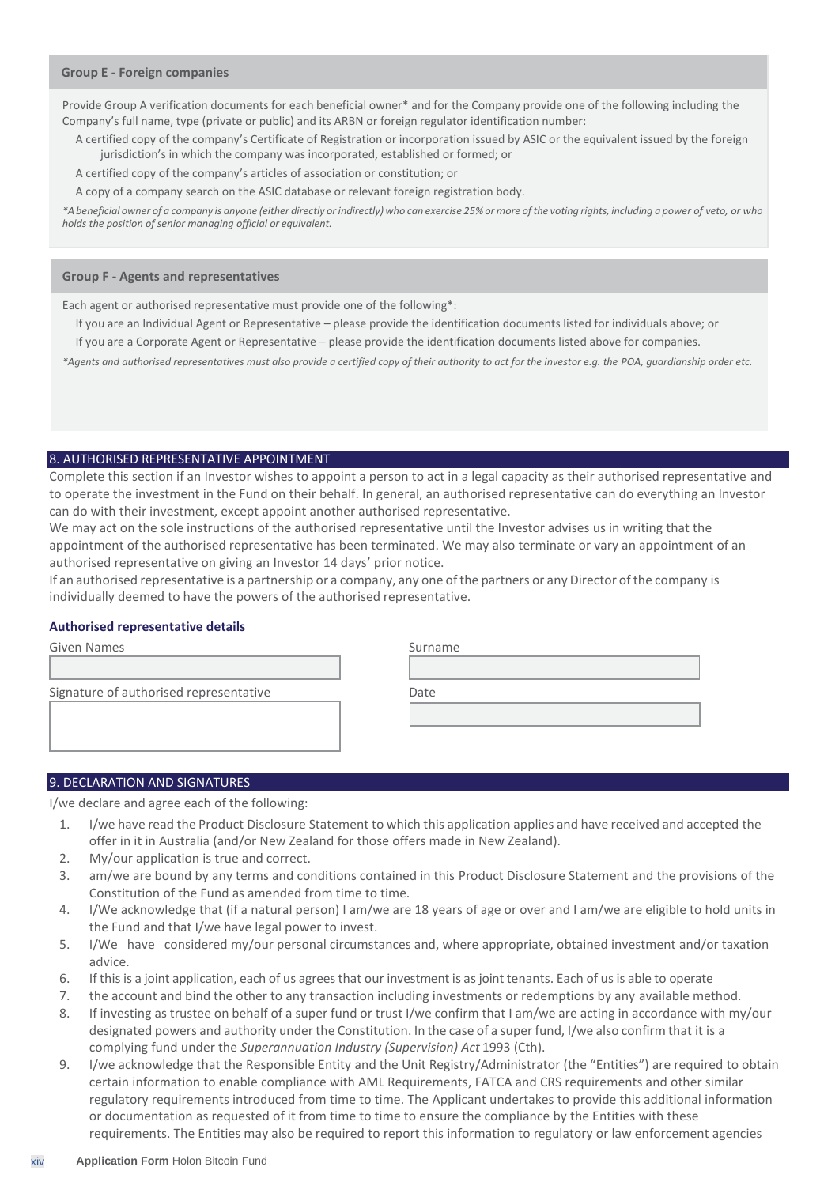#### **Group E - Foreign companies**

Provide Group A verification documents for each beneficial owner\* and for the Company provide one of the following including the Company's full name, type (private or public) and its ARBN or foreign regulator identification number:

A certified copy of the company's Certificate of Registration or incorporation issued by ASIC or the equivalent issued by the foreign jurisdiction's in which the company was incorporated, established or formed; or

A certified copy of the company's articles of association or constitution; or

A copy of a company search on the ASIC database or relevant foreign registration body.

\*A beneficial owner of a company is anyone (either directly or indirectly) who can exercise 25% or more of the voting rights, including a power of veto, or who *holds the position of senior managing official or equivalent.*

#### **Group F - Agents and representatives**

Each agent or authorised representative must provide one of the following\*:

- If you are an Individual Agent or Representative please provide the identification documents listed for individuals above; or
- If you are a Corporate Agent or Representative please provide the identification documents listed above for companies.

*\*Agents and authorised representatives must also provide a certified copy of their authority to act for the investor e.g. the POA, guardianship order etc.*

#### 8. AUTHORISED REPRESENTATIVE APPOINTMENT

Complete this section if an Investor wishes to appoint a person to act in a legal capacity as their authorised representative and to operate the investment in the Fund on their behalf. In general, an authorised representative can do everything an Investor can do with their investment, except appoint another authorised representative.

We may act on the sole instructions of the authorised representative until the Investor advises us in writing that the appointment of the authorised representative has been terminated. We may also terminate or vary an appointment of an authorised representative on giving an Investor 14 days' prior notice.

If an authorised representative is a partnership or a company, any one ofthe partners or any Director of the company is individually deemed to have the powers of the authorised representative.

#### **Authorised representative details**

| Given Names                            | Surname |
|----------------------------------------|---------|
|                                        |         |
| Signature of authorised representative | Date    |
|                                        |         |
|                                        |         |
|                                        |         |

#### 9. DECLARATION AND SIGNATURES

I/we declare and agree each of the following:

- 1. I/we have read the Product Disclosure Statement to which this application applies and have received and accepted the offer in it in Australia (and/or New Zealand for those offers made in New Zealand).
- 2. My/our application is true and correct.
- 3. am/we are bound by any terms and conditions contained in this Product Disclosure Statement and the provisions of the Constitution of the Fund as amended from time to time.
- 4. I/We acknowledge that (if a natural person) I am/we are 18 years of age or over and I am/we are eligible to hold units in the Fund and that I/we have legal power to invest.
- 5. I/We have considered my/our personal circumstances and, where appropriate, obtained investment and/or taxation advice.
- 6. If this is a joint application, each of us agreesthat our investment is as joint tenants. Each of us is able to operate
- 7. the account and bind the other to any transaction including investments or redemptions by any available method.
- 8. If investing as trustee on behalf of a super fund or trust I/we confirm that I am/we are acting in accordance with my/our designated powers and authority under the Constitution. In the case of a super fund, I/we also confirm that it is a complying fund under the *Superannuation Industry (Supervision) Act* 1993 (Cth).
- 9. I/we acknowledge that the Responsible Entity and the Unit Registry/Administrator (the "Entities") are required to obtain certain information to enable compliance with AML Requirements, FATCA and CRS requirements and other similar regulatory requirements introduced from time to time. The Applicant undertakes to provide this additional information or documentation as requested of it from time to time to ensure the compliance by the Entities with these requirements. The Entities may also be required to report this information to regulatory or law enforcement agencies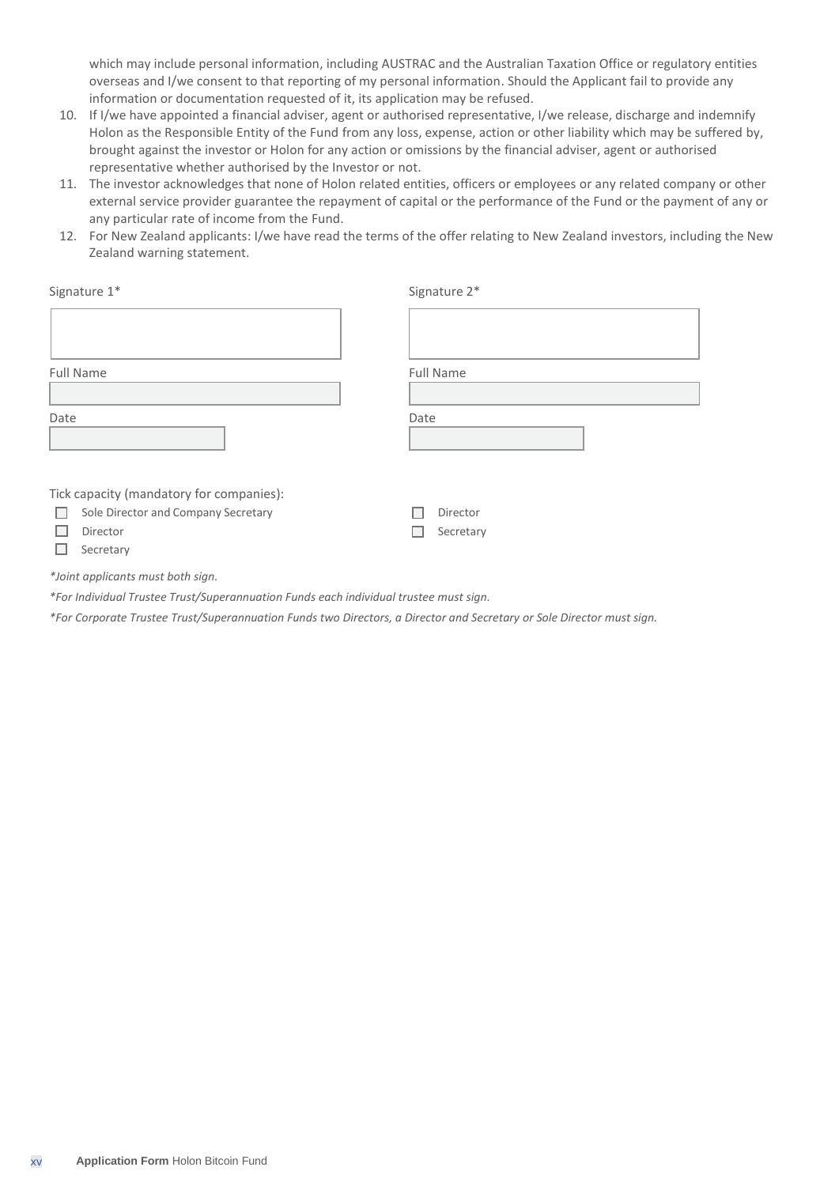which may include personal information, including AUSTRAC and the Australian Taxation Office or regulatory entities overseas and I/we consent to that reporting of my personal information. Should the Applicant fail to provide any information or documentation requested of it, its application may be refused.

- 10. If I/we have appointed a financial adviser, agent or authorised representative, I/we release, discharge and indemnify Holon as the Responsible Entity of the Fund from any loss, expense, action or other liability which may be suffered by, brought against the investor or Holon for any action or omissions by the financial adviser, agent or authorised representative whether authorised by the Investor or not.
- 11. The investor acknowledges that none of Holon related entities, officers or employees or any related company or other external service provider guarantee the repayment of capital or the performance of the Fund or the payment of any or any particular rate of income from the Fund.
- 12. For New Zealand applicants: I/we have read the terms of the offer relating to New Zealand investors, including the New Zealand warning statement.

| Signature 1*                             | Signature 2*     |
|------------------------------------------|------------------|
|                                          |                  |
| Full Name                                | <b>Full Name</b> |
|                                          |                  |
| Date                                     | Date             |
| Tick capacity (mandatory for companies): |                  |
| Sole Director and Company Secretary      | Director         |
| Director                                 | Secretary        |

 $\Box$  Secretary

*\*Joint applicants must both sign.*

*\*For Individual Trustee Trust/Superannuation Funds each individual trustee must sign.*

*\*For Corporate Trustee Trust/Superannuation Funds two Directors, a Director and Secretary or Sole Director must sign.*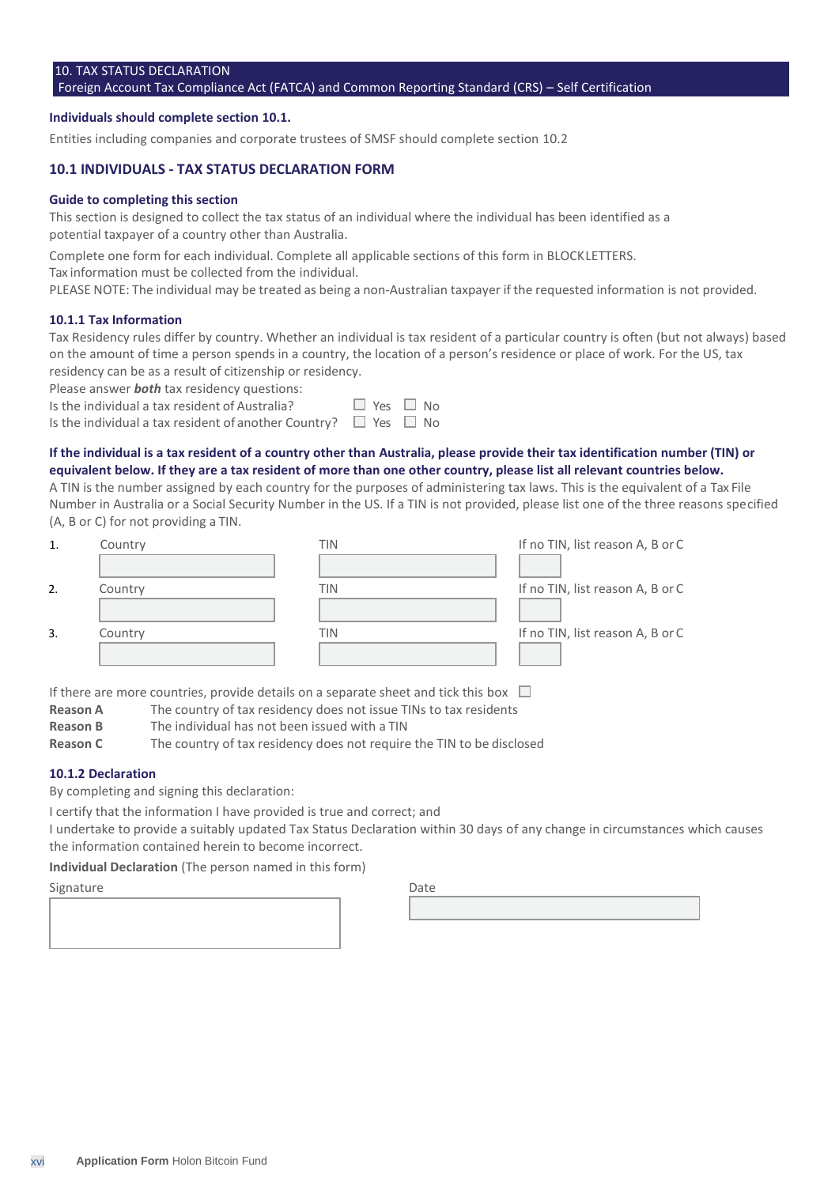# 10. TAX STATUS DECLARATION

#### Foreign Account Tax Compliance Act (FATCA) and Common Reporting Standard (CRS) – Self Certification

#### **Individuals should complete section 10.1.**

Entities including companies and corporate trustees of SMSF should complete section 10.2

#### **10.1 INDIVIDUALS - TAX STATUS DECLARATION FORM**

#### **Guide to completing this section**

This section is designed to collect the tax status of an individual where the individual has been identified as a potential taxpayer of a country other than Australia.

Complete one form for each individual. Complete all applicable sections of this form in BLOCKLETTERS.

Tax information must be collected from the individual.

PLEASE NOTE: The individual may be treated as being a non-Australian taxpayer if the requested information is not provided.

#### **10.1.1 Tax Information**

Tax Residency rules differ by country. Whether an individual is tax resident of a particular country is often (but not always) based on the amount of time a person spends in a country, the location of a person's residence or place of work. For the US, tax residency can be as a result of citizenship or residency.

Please answer *both* tax residency questions:

| Is the individual a tax resident of Australia?                            | $\Box$ Yes $\Box$ No |  |
|---------------------------------------------------------------------------|----------------------|--|
| Is the individual a tax resident of another Country? $\Box$ Yes $\Box$ No |                      |  |

# **If the individual is a tax resident of a country other than Australia, please provide their tax identification number (TIN) or**

**equivalent below. If they are a tax resident of more than one other country, please list all relevant countries below.** A TIN is the number assigned by each country for the purposes of administering tax laws. This is the equivalent of a Tax File Number in Australia or a Social Security Number in the US. If a TIN is not provided, please list one of the three reasons specified (A, B or C) for not providing a TIN.

| 1. | Country | TIN | If no TIN, list reason A, B or C |
|----|---------|-----|----------------------------------|
|    |         |     |                                  |
| 2. | Country | TIN | If no TIN, list reason A, B or C |
|    |         |     |                                  |
| 3. | Country | TIN | If no TIN, list reason A, B or C |
|    |         |     |                                  |

If there are more countries, provide details on a separate sheet and tick this box  $\Box$ 

- **Reason A** The country of tax residency does not issue TINs to tax residents
- **Reason B** The individual has not been issued with a TIN

**Reason C** The country of tax residency does not require the TIN to be disclosed

#### **10.1.2 Declaration**

By completing and signing this declaration:

I certify that the information I have provided is true and correct; and

I undertake to provide a suitably updated Tax Status Declaration within 30 days of any change in circumstances which causes the information contained herein to become incorrect.

**Individual Declaration** (The person named in this form)

#### Signature Date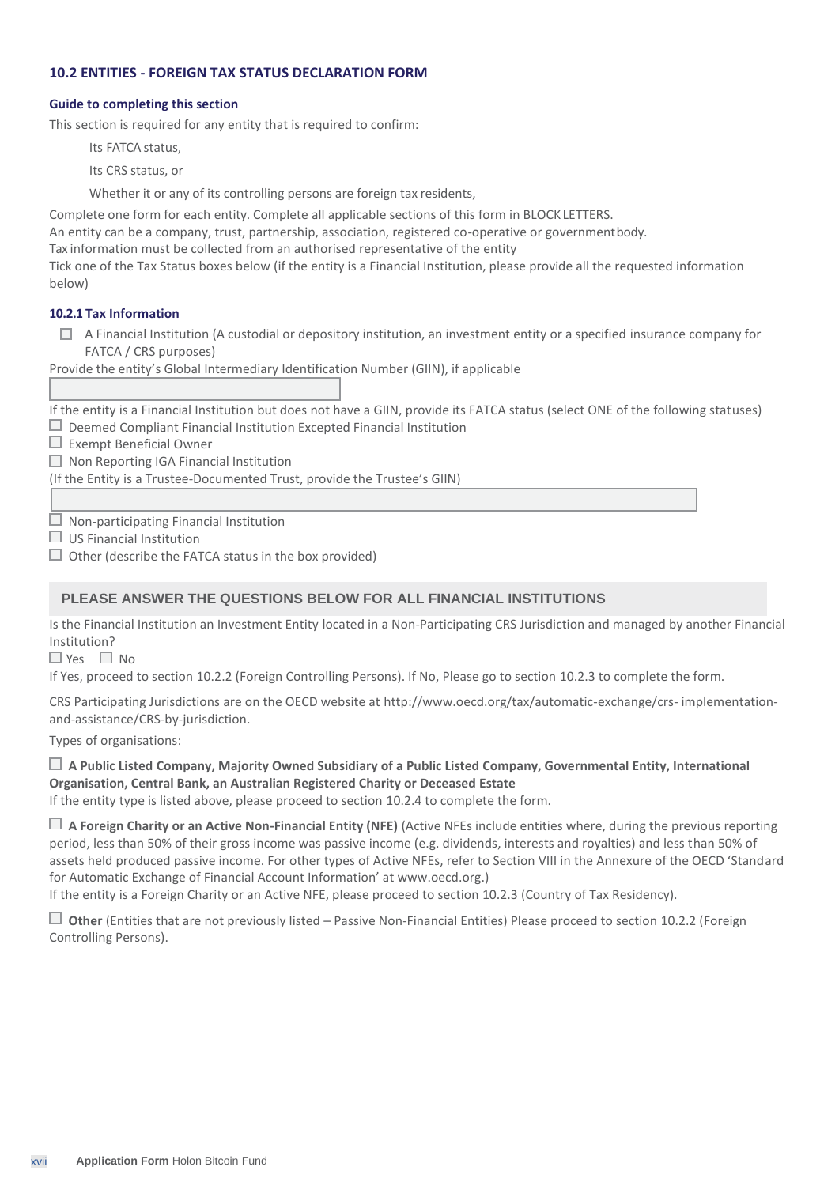# **10.2 ENTITIES - FOREIGN TAX STATUS DECLARATION FORM**

### **Guide to completing this section**

This section is required for any entity that is required to confirm:

Its FATCA status,

Its CRS status, or

Whether it or any of its controlling persons are foreign tax residents,

Complete one form for each entity. Complete all applicable sections of this form in BLOCK LETTERS.

An entity can be a company, trust, partnership, association, registered co-operative or governmentbody.

Tax information must be collected from an authorised representative of the entity

Tick one of the Tax Status boxes below (if the entity is a Financial Institution, please provide all the requested information below)

# **10.2.1 Tax Information**

 $\Box$  A Financial Institution (A custodial or depository institution, an investment entity or a specified insurance company for FATCA / CRS purposes)

Provide the entity's Global Intermediary Identification Number (GIIN), if applicable

If the entity is a Financial Institution but does not have a GIIN, provide its FATCA status (select ONE of the following statuses)  $\Box$  Deemed Compliant Financial Institution Excepted Financial Institution

 $\Box$  Exempt Beneficial Owner

 $\Box$  Non Reporting IGA Financial Institution

(If the Entity is a Trustee-Documented Trust, provide the Trustee's GIIN)

 $\Box$  Non-participating Financial Institution

 $\Box$  US Financial Institution

 $\Box$  Other (describe the FATCA status in the box provided)

# **PLEASE ANSWER THE QUESTIONS BELOW FOR ALL FINANCIAL INSTITUTIONS**

Is the Financial Institution an Investment Entity located in a Non-Participating CRS Jurisdiction and managed by another Financial Institution?

 $\Box$  Yes  $\Box$  No

If Yes, proceed to section 10.2.2 (Foreign Controlling Persons). If No, Please go to section 10.2.3 to complete the form.

CRS Participating Jurisdictions are on the OECD website at<http://www.oecd.org/tax/automatic-exchange/crs-> implementationand-assistance/CRS-by-jurisdiction.

Types of organisations:

# **A Public Listed Company, Majority Owned Subsidiary of a Public Listed Company, Governmental Entity, International Organisation, Central Bank, an Australian Registered Charity or Deceased Estate**

If the entity type is listed above, please proceed to section 10.2.4 to complete the form.

 **A Foreign Charity or an Active Non-Financial Entity (NFE)** (Active NFEs include entities where, during the previous reporting period, less than 50% of their gross income was passive income (e.g. dividends, interests and royalties) and less than 50% of assets held produced passive income. For other types of Active NFEs, refer to Section VIII in the Annexure of the OECD 'Standard for Automatic Exchange of Financial Account Information' at www.oecd.org.)

If the entity is a Foreign Charity or an Active NFE, please proceed to section 10.2.3 (Country of Tax Residency).

 **Other** (Entities that are not previously listed – Passive Non-Financial Entities) Please proceed to section 10.2.2 (Foreign Controlling Persons).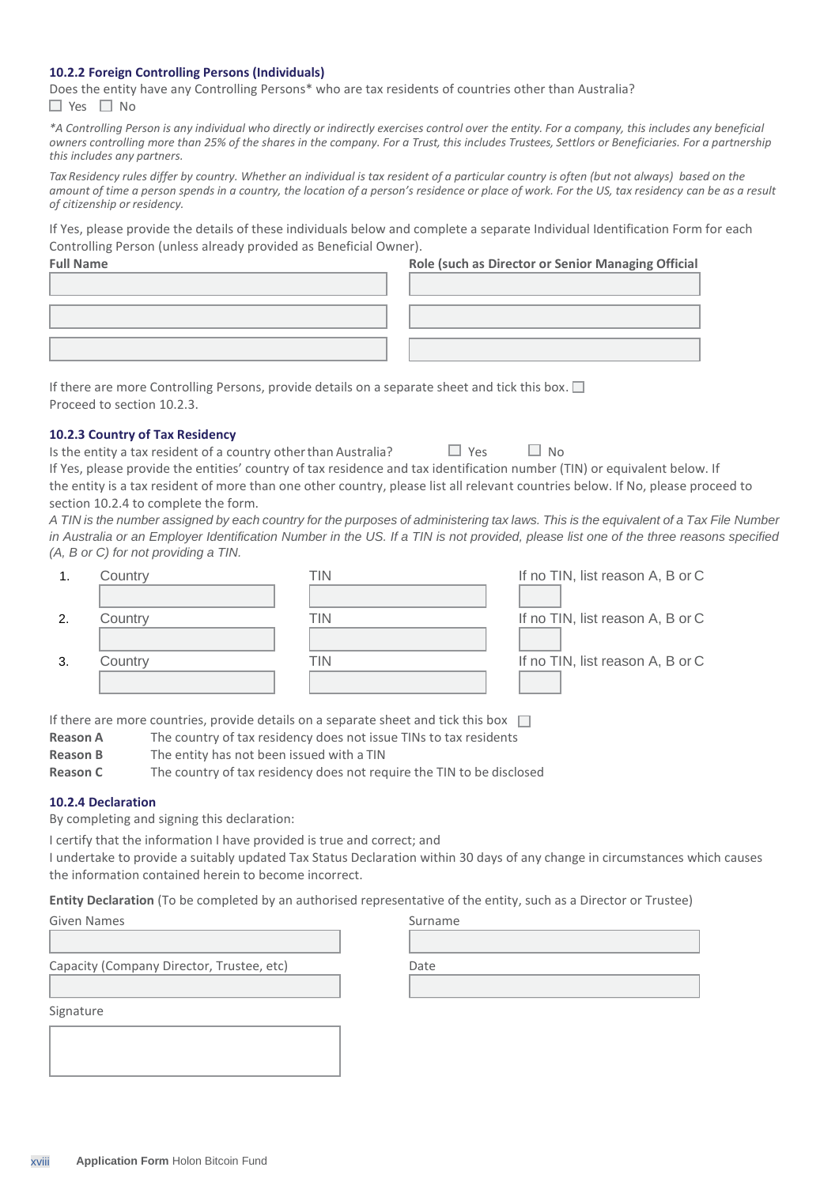#### **10.2.2 Foreign Controlling Persons (Individuals)**

Does the entity have any Controlling Persons\* who are tax residents of countries other than Australia?  $\Box$  Yes  $\Box$  No

*\*A Controlling Person is any individual who directly or indirectly exercises control over the entity. For a company, this includes any beneficial owners controlling more than 25% of the shares in the company. For a Trust, this includes Trustees, Settlors or Beneficiaries. For a partnership this includes any partners.*

Tax Residency rules differ by country. Whether an individual is tax resident of a particular country is often (but not always) based on the *amount of time a person spends in a country, the location of a person's residence or place of work. For the US, tax residency can be as a result of citizenship or residency.*

If Yes, please provide the details of these individuals below and complete a separate Individual Identification Form for each Controlling Person (unless already provided as Beneficial Owner).

| <b>Full Name</b> | Role (such as Director or Senior Managing Official |
|------------------|----------------------------------------------------|
|                  |                                                    |
|                  |                                                    |
|                  |                                                    |
|                  |                                                    |
|                  |                                                    |

If there are more Controlling Persons, provide details on a separate sheet and tick this box.  $\square$ Proceed to section 10.2.3.

#### **10.2.3 Country of Tax Residency**

| Is the entity a tax resident of a country other than Australia?                                                                 | $Y_{PS}$ | $\Box$ No |  |
|---------------------------------------------------------------------------------------------------------------------------------|----------|-----------|--|
| If Yes, please provide the entities' country of tax residence and tax identification number (TIN) or equivalent below. If       |          |           |  |
| the entity is a tax resident of more than one other country, please list all relevant countries below. If No, please proceed to |          |           |  |
| section 10.2.4 to complete the form.                                                                                            |          |           |  |

*A TIN is the number assigned by each country for the purposes of administering tax laws. This is the equivalent of a Tax File Number in Australia or an Employer Identification Number in the US. If a TIN is not provided, please list one of the three reasons specified (A, B or C) for not providing a TIN.*

|     | Country | ΓIΝ | If no TIN, list reason A, B or C |
|-----|---------|-----|----------------------------------|
|     |         |     |                                  |
| 2.  | Country | TIN | If no TIN, list reason A, B or C |
|     |         |     |                                  |
| -3. | Country | ΓIΝ | If no TIN, list reason A, B or C |
|     |         |     |                                  |

If there are more countries, provide details on a separate sheet and tick this box  $\Box$ 

- **Reason A** The country of tax residency does not issue TINs to tax residents
- **Reason B** The entity has not been issued with a TIN
- **Reason C** The country of tax residency does not require the TIN to be disclosed

#### **10.2.4 Declaration**

By completing and signing this declaration:

I certify that the information I have provided is true and correct; and

I undertake to provide a suitably updated Tax Status Declaration within 30 days of any change in circumstances which causes the information contained herein to become incorrect.

**Entity Declaration** (To be completed by an authorised representative of the entity, such as a Director or Trustee)

| Given Names                               | Surname |  |
|-------------------------------------------|---------|--|
|                                           |         |  |
| Capacity (Company Director, Trustee, etc) | Date    |  |
|                                           |         |  |
| Signature                                 |         |  |
|                                           |         |  |

| <b>XVIII</b> | <b>Application Form Holon Bitcoin Fund</b> |  |  |  |
|--------------|--------------------------------------------|--|--|--|
|--------------|--------------------------------------------|--|--|--|